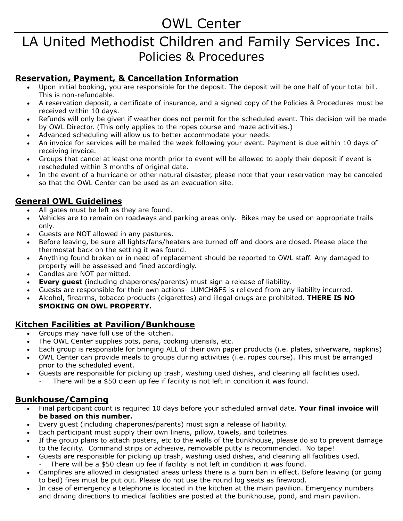# OWL Center

# LA United Methodist Children and Family Services Inc. Policies & Procedures

## **Reservation, Payment, & Cancellation Information**

- Upon initial booking, you are responsible for the deposit. The deposit will be one half of your total bill. This is non-refundable.
- A reservation deposit, a certificate of insurance, and a signed copy of the Policies & Procedures must be received within 10 days.
- Refunds will only be given if weather does not permit for the scheduled event. This decision will be made by OWL Director. (This only applies to the ropes course and maze activities.)
- Advanced scheduling will allow us to better accommodate your needs.
- An invoice for services will be mailed the week following your event. Payment is due within 10 days of receiving invoice.
- Groups that cancel at least one month prior to event will be allowed to apply their deposit if event is rescheduled within 3 months of original date.
- In the event of a hurricane or other natural disaster, please note that your reservation may be canceled so that the OWL Center can be used as an evacuation site.

## **General OWL Guidelines**

- All gates must be left as they are found.
- Vehicles are to remain on roadways and parking areas only. Bikes may be used on appropriate trails only.
- Guests are NOT allowed in any pastures.
- Before leaving, be sure all lights/fans/heaters are turned off and doors are closed. Please place the thermostat back on the setting it was found.
- Anything found broken or in need of replacement should be reported to OWL staff. Any damaged to property will be assessed and fined accordingly.
- Candles are NOT permitted.
- **Every guest** (including chaperones/parents) must sign a release of liability.
- Guests are responsible for their own actions- LUMCH&FS is relieved from any liability incurred.
- Alcohol, firearms, tobacco products (cigarettes) and illegal drugs are prohibited. **THERE IS NO SMOKING ON OWL PROPERTY.**

## **Kitchen Facilities at Pavilion/Bunkhouse**

- Groups may have full use of the kitchen.
- The OWL Center supplies pots, pans, cooking utensils, etc.
- Each group is responsible for bringing ALL of their own paper products (i.e. plates, silverware, napkins)
- OWL Center can provide meals to groups during activities (i.e. ropes course). This must be arranged prior to the scheduled event.
- Guests are responsible for picking up trash, washing used dishes, and cleaning all facilities used.
	- There will be a \$50 clean up fee if facility is not left in condition it was found.

### **Bunkhouse/Camping**

- Final participant count is required 10 days before your scheduled arrival date. **Your final invoice will be based on this number.**
- Every guest (including chaperones/parents) must sign a release of liability.
- Each participant must supply their own linens, pillow, towels, and toiletries.
- If the group plans to attach posters, etc to the walls of the bunkhouse, please do so to prevent damage to the facility. Command strips or adhesive, removable putty is recommended. No tape!
- Guests are responsible for picking up trash, washing used dishes, and cleaning all facilities used.
- There will be a \$50 clean up fee if facility is not left in condition it was found.
- Campfires are allowed in designated areas unless there is a burn ban in effect. Before leaving (or going to bed) fires must be put out. Please do not use the round log seats as firewood.
- In case of emergency a telephone is located in the kitchen at the main pavilion. Emergency numbers and driving directions to medical facilities are posted at the bunkhouse, pond, and main pavilion.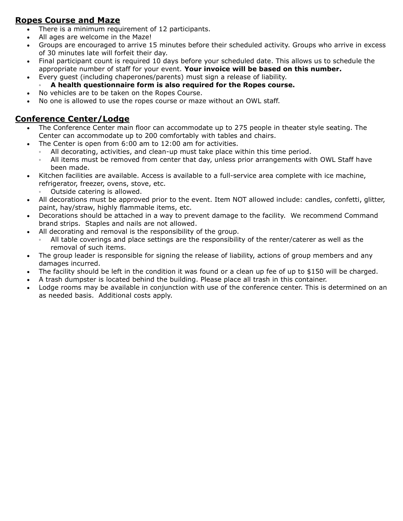## **Ropes Course and Maze**

- There is a minimum requirement of 12 participants.
- All ages are welcome in the Maze!
- Groups are encouraged to arrive 15 minutes before their scheduled activity. Groups who arrive in excess of 30 minutes late will forfeit their day.
- Final participant count is required 10 days before your scheduled date. This allows us to schedule the appropriate number of staff for your event. **Your invoice will be based on this number.**
- Every guest (including chaperones/parents) must sign a release of liability.
- **A health questionnaire form is also required for the Ropes course.**
- No vehicles are to be taken on the Ropes Course.
- No one is allowed to use the ropes course or maze without an OWL staff.

## **Conference Center/Lodge**

- The Conference Center main floor can accommodate up to 275 people in theater style seating. The Center can accommodate up to 200 comfortably with tables and chairs.
- The Center is open from 6:00 am to 12:00 am for activities.
	- All decorating, activities, and clean-up must take place within this time period.
	- All items must be removed from center that day, unless prior arrangements with OWL Staff have been made.
- Kitchen facilities are available. Access is available to a full-service area complete with ice machine, refrigerator, freezer, ovens, stove, etc.
	- Outside catering is allowed.
- All decorations must be approved prior to the event. Item NOT allowed include: candles, confetti, glitter, paint, hay/straw, highly flammable items, etc.
- Decorations should be attached in a way to prevent damage to the facility. We recommend Command brand strips. Staples and nails are not allowed.
- All decorating and removal is the responsibility of the group.
	- All table coverings and place settings are the responsibility of the renter/caterer as well as the removal of such items.
- The group leader is responsible for signing the release of liability, actions of group members and any damages incurred.
- The facility should be left in the condition it was found or a clean up fee of up to \$150 will be charged.
- A trash dumpster is located behind the building. Please place all trash in this container.
- Lodge rooms may be available in conjunction with use of the conference center. This is determined on an as needed basis. Additional costs apply.